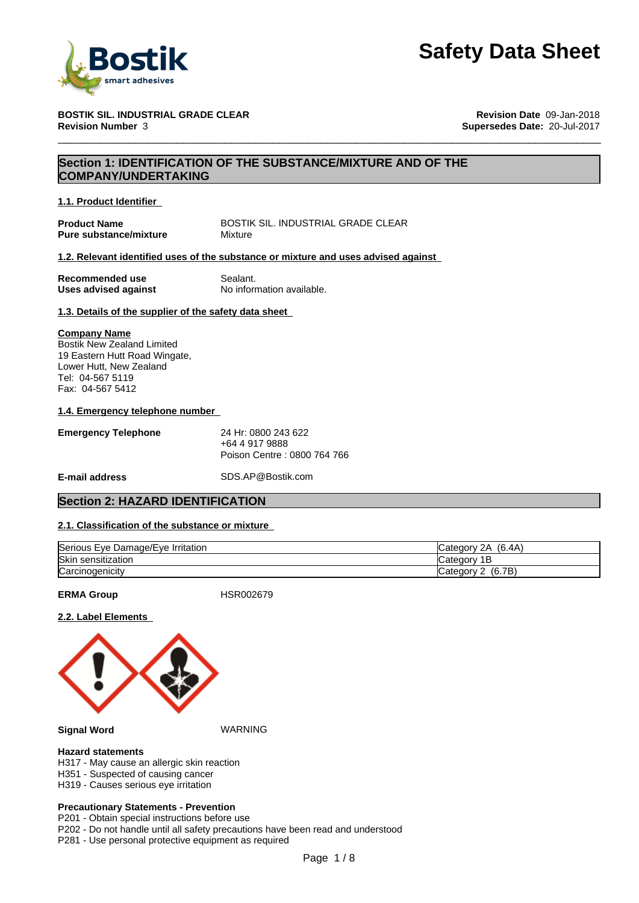

#### **BOSTIK SIL. INDUSTRIAL GRADE CLEAR Revision Date** 09-Jan-2018 **Revision Number** 3 **Supersedes Date:** 20-Jul-2017

## **Section 1: IDENTIFICATION OF THE SUBSTANCE/MIXTURE AND OF THE COMPANY/UNDERTAKING**

#### **1.1. Product Identifier**

**Pure substance/mixture Mixture** 

**Product Name** BOSTIK SIL. INDUSTRIAL GRADE CLEAR

### **1.2. Relevant identified uses of the substance or mixture and uses advised against**

**Recommended use** Sealant.<br> **Uses advised against** No information available. **Uses advised against** 

### **1.3. Details of the supplier of the safety data sheet**

#### **Company Name**

Bostik New Zealand Limited 19 Eastern Hutt Road Wingate, Lower Hutt, New Zealand Tel: 04-567 5119 Fax: 04-567 5412

### **1.4. Emergency telephone number**

| <b>Emergency Telephone</b> | 24 Hr: 0800 243 622         |
|----------------------------|-----------------------------|
|                            | +64 4 917 9888              |
|                            | Poison Centre: 0800 764 766 |

**E-mail address** SDS.AP@Bostik.com

## **Section 2: HAZARD IDENTIFICATION**

## **2.1. Classification of the substance or mixture**

| Serious Eye<br>Damage/Eve Irritation | (6.4A)<br>ົາ<br>categor. ن       |
|--------------------------------------|----------------------------------|
| Skin<br>ı sensitization              | Categor,<br>.                    |
| Carcinogenicity                      | (6.7B)<br>, <b>∴</b> ategor<br>_ |

**ERMA Group** HSR002679

#### **2.2. Label Elements**



#### **Signal Word** WARNING

#### **Hazard statements**

- H317 May cause an allergic skin reaction
- H351 Suspected of causing cancer
- H319 Causes serious eye irritation

#### **Precautionary Statements - Prevention**

P201 - Obtain special instructions before use

P202 - Do not handle until all safety precautions have been read and understood

P281 - Use personal protective equipment as required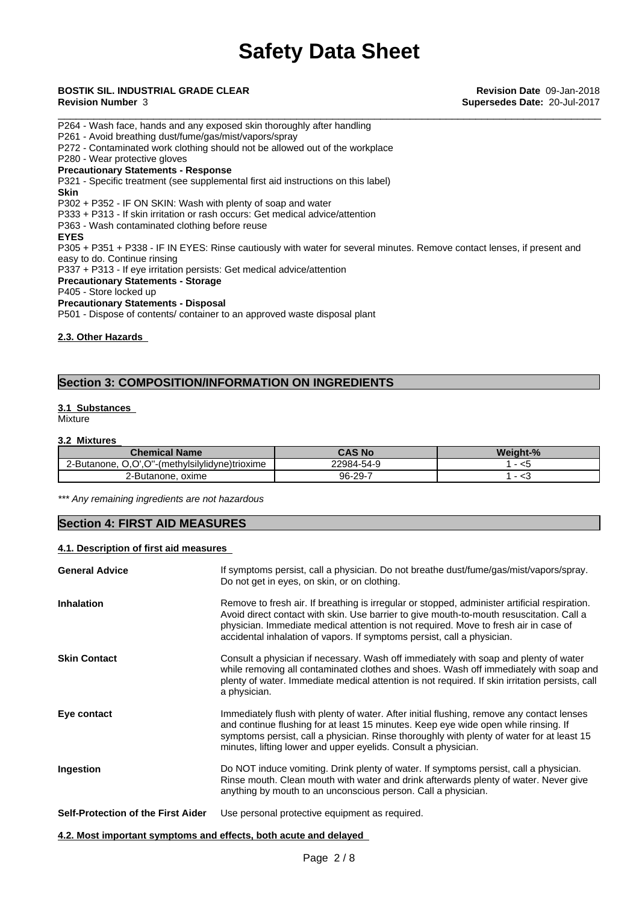# \_\_\_\_\_\_\_\_\_\_\_\_\_\_\_\_\_\_\_\_\_\_\_\_\_\_\_\_\_\_\_\_\_\_\_\_\_\_\_\_\_\_\_\_\_\_\_\_\_\_\_\_\_\_\_\_\_\_\_\_\_\_\_\_\_\_\_\_\_\_\_\_\_\_\_\_\_\_\_\_\_\_\_\_\_\_\_\_\_\_\_ **BOSTIK SIL. INDUSTRIAL GRADE CLEAR Revision Date** 09-Jan-2018

**Revision Number** 3 **Supersedes Date:** 20-Jul-2017

P264 - Wash face, hands and any exposed skin thoroughly after handling P261 - Avoid breathing dust/fume/gas/mist/vapors/spray P272 - Contaminated work clothing should not be allowed out of the workplace P280 - Wear protective gloves **Precautionary Statements - Response** P321 - Specific treatment (see supplemental first aid instructions on this label) **Skin** P302 + P352 - IF ON SKIN: Wash with plenty of soap and water P333 + P313 - If skin irritation or rash occurs: Get medical advice/attention P363 - Wash contaminated clothing before reuse **EYES** P305 + P351 + P338 - IF IN EYES: Rinse cautiously with water for several minutes. Remove contact lenses, if present and easy to do. Continue rinsing P337 + P313 - If eye irritation persists: Get medical advice/attention **Precautionary Statements - Storage** P405 - Store locked up **Precautionary Statements - Disposal** P501 - Dispose of contents/ container to an approved waste disposal plant

**2.3. Other Hazards**

## **Section 3: COMPOSITION/INFORMATION ON INGREDIENTS**

#### **3.1 Substances Mixture**

### **3.2 Mixtures**

| $\mathcal L$ hemical Name $\mathcal L$                                      | <b>CAS No</b> | Weight-% |
|-----------------------------------------------------------------------------|---------------|----------|
| $\sim$<br>"-(methvlsilvlidvne)trioxime<br>$\sim$<br>'-Butanone.<br>.<br>J.J | 22984-54-9    | - <5     |
| 2-Butanone.<br>oxime                                                        | 96-29-7       | ت>       |

*\*\*\* Any remaining ingredients are not hazardous*

## **Section 4: FIRST AID MEASURES**

#### **4.1. Description of first aid measures**

| <b>General Advice</b>                                            | If symptoms persist, call a physician. Do not breathe dust/fume/gas/mist/vapors/spray.<br>Do not get in eyes, on skin, or on clothing.                                                                                                                                                                                                                       |
|------------------------------------------------------------------|--------------------------------------------------------------------------------------------------------------------------------------------------------------------------------------------------------------------------------------------------------------------------------------------------------------------------------------------------------------|
| <b>Inhalation</b>                                                | Remove to fresh air. If breathing is irregular or stopped, administer artificial respiration.<br>Avoid direct contact with skin. Use barrier to give mouth-to-mouth resuscitation. Call a<br>physician. Immediate medical attention is not required. Move to fresh air in case of<br>accidental inhalation of vapors. If symptoms persist, call a physician. |
| <b>Skin Contact</b>                                              | Consult a physician if necessary. Wash off immediately with soap and plenty of water<br>while removing all contaminated clothes and shoes. Wash off immediately with soap and<br>plenty of water. Immediate medical attention is not required. If skin irritation persists, call<br>a physician.                                                             |
| Eye contact                                                      | Immediately flush with plenty of water. After initial flushing, remove any contact lenses<br>and continue flushing for at least 15 minutes. Keep eye wide open while rinsing. If<br>symptoms persist, call a physician. Rinse thoroughly with plenty of water for at least 15<br>minutes, lifting lower and upper eyelids. Consult a physician.              |
| Ingestion                                                        | Do NOT induce vomiting. Drink plenty of water. If symptoms persist, call a physician.<br>Rinse mouth. Clean mouth with water and drink afterwards plenty of water. Never give<br>anything by mouth to an unconscious person. Call a physician.                                                                                                               |
| <b>Self-Protection of the First Aider</b>                        | Use personal protective equipment as required.                                                                                                                                                                                                                                                                                                               |
| 4.2. Most important symptoms and effects, both acute and delayed |                                                                                                                                                                                                                                                                                                                                                              |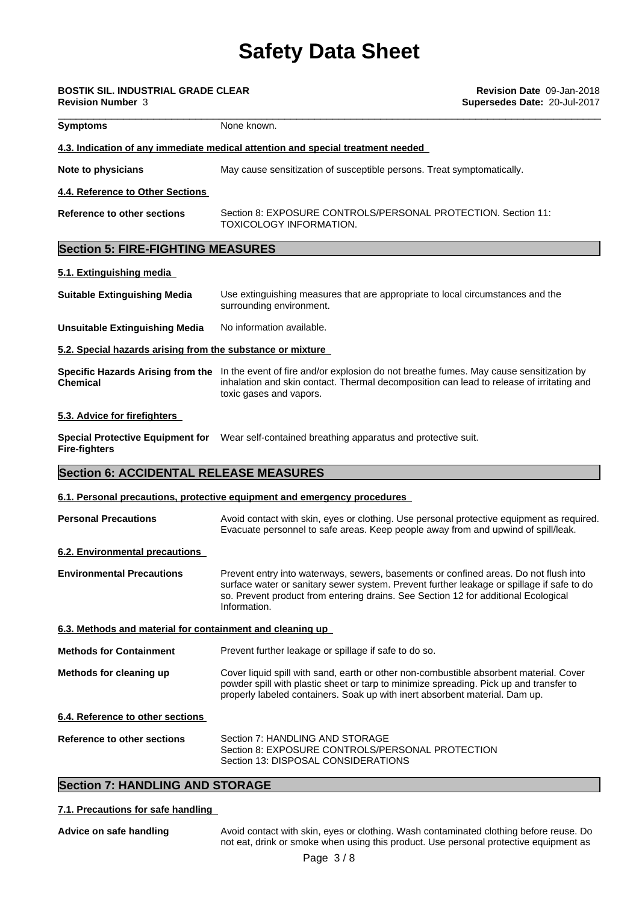| BOSTIK SIL. INDUSTRIAL GRADE CLEAR<br><b>Revision Number 3</b> |                                                                                                                                                                                                                                                                                         | Revision Date 09-Jan-2018<br>Supersedes Date: 20-Jul-2017 |  |
|----------------------------------------------------------------|-----------------------------------------------------------------------------------------------------------------------------------------------------------------------------------------------------------------------------------------------------------------------------------------|-----------------------------------------------------------|--|
| Symptoms                                                       | None known.                                                                                                                                                                                                                                                                             |                                                           |  |
|                                                                | 4.3. Indication of any immediate medical attention and special treatment needed                                                                                                                                                                                                         |                                                           |  |
| <b>Note to physicians</b>                                      | May cause sensitization of susceptible persons. Treat symptomatically.                                                                                                                                                                                                                  |                                                           |  |
| 4.4. Reference to Other Sections                               |                                                                                                                                                                                                                                                                                         |                                                           |  |
| <b>Reference to other sections</b>                             | Section 8: EXPOSURE CONTROLS/PERSONAL PROTECTION. Section 11:<br>TOXICOLOGY INFORMATION.                                                                                                                                                                                                |                                                           |  |
| <b>Section 5: FIRE-FIGHTING MEASURES</b>                       |                                                                                                                                                                                                                                                                                         |                                                           |  |
| 5.1. Extinguishing media                                       |                                                                                                                                                                                                                                                                                         |                                                           |  |
| <b>Suitable Extinguishing Media</b>                            | Use extinguishing measures that are appropriate to local circumstances and the<br>surrounding environment.                                                                                                                                                                              |                                                           |  |
| <b>Unsuitable Extinguishing Media</b>                          | No information available.                                                                                                                                                                                                                                                               |                                                           |  |
| 5.2. Special hazards arising from the substance or mixture     |                                                                                                                                                                                                                                                                                         |                                                           |  |
| Chemical                                                       | Specific Hazards Arising from the In the event of fire and/or explosion do not breathe fumes. May cause sensitization by<br>inhalation and skin contact. Thermal decomposition can lead to release of irritating and<br>toxic gases and vapors.                                         |                                                           |  |
| 5.3. Advice for firefighters                                   |                                                                                                                                                                                                                                                                                         |                                                           |  |
| Fire-fighters                                                  | Special Protective Equipment for Wear self-contained breathing apparatus and protective suit.                                                                                                                                                                                           |                                                           |  |
| <b>Section 6: ACCIDENTAL RELEASE MEASURES</b>                  |                                                                                                                                                                                                                                                                                         |                                                           |  |
|                                                                | 6.1. Personal precautions, protective equipment and emergency procedures                                                                                                                                                                                                                |                                                           |  |
| <b>Personal Precautions</b>                                    | Avoid contact with skin, eyes or clothing. Use personal protective equipment as required.<br>Evacuate personnel to safe areas. Keep people away from and upwind of spill/leak.                                                                                                          |                                                           |  |
| 6.2. Environmental precautions                                 |                                                                                                                                                                                                                                                                                         |                                                           |  |
| <b>Environmental Precautions</b>                               | Prevent entry into waterways, sewers, basements or confined areas. Do not flush into<br>surface water or sanitary sewer system. Prevent further leakage or spillage if safe to do<br>so. Prevent product from entering drains. See Section 12 for additional Ecological<br>Information. |                                                           |  |
| 6.3. Methods and material for containment and cleaning up      |                                                                                                                                                                                                                                                                                         |                                                           |  |
| <b>Methods for Containment</b>                                 | Prevent further leakage or spillage if safe to do so.                                                                                                                                                                                                                                   |                                                           |  |
| Methods for cleaning up                                        | Cover liquid spill with sand, earth or other non-combustible absorbent material. Cover<br>powder spill with plastic sheet or tarp to minimize spreading. Pick up and transfer to<br>properly labeled containers. Soak up with inert absorbent material. Dam up.                         |                                                           |  |

**6.4. Reference to other sections**

| Reference to other sections | Section 7: HANDLING AND STORAGE                  |
|-----------------------------|--------------------------------------------------|
|                             | Section 8: EXPOSURE CONTROLS/PERSONAL PROTECTION |
|                             | Section 13: DISPOSAL CONSIDERATIONS              |

## **Section 7: HANDLING AND STORAGE**

### **7.1. Precautions for safe handling**

Advice on safe handling **Audiciana Avoid contact with skin, eyes or clothing. Wash contaminated clothing before reuse. Do** not eat, drink or smoke when using this product. Use personal protective equipment as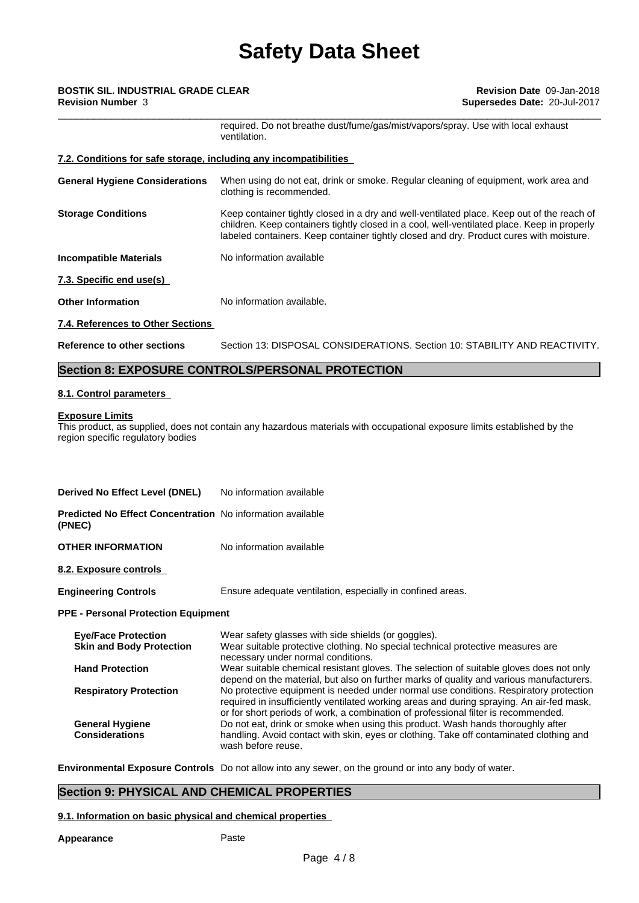## \_\_\_\_\_\_\_\_\_\_\_\_\_\_\_\_\_\_\_\_\_\_\_\_\_\_\_\_\_\_\_\_\_\_\_\_\_\_\_\_\_\_\_\_\_\_\_\_\_\_\_\_\_\_\_\_\_\_\_\_\_\_\_\_\_\_\_\_\_\_\_\_\_\_\_\_\_\_\_\_\_\_\_\_\_\_\_\_\_\_\_ **BOSTIK SIL. INDUSTRIAL GRADE CLEAR Revision Date** 09-Jan-2018 **Revision Number** 3 **Supersedes Date:** 20-Jul-2017

required. Do not breathe dust/fume/gas/mist/vapors/spray. Use with local exhaust ventilation. **7.2. Conditions for safe storage, including any incompatibilities General Hygiene Considerations** When using do not eat, drink or smoke. Regular cleaning of equipment, work area and clothing is recommended. **Storage Conditions** Keep container tightly closed in a dry and well-ventilated place. Keep out of the reach of children. Keep containers tightly closed in a cool, well-ventilated place. Keep in properly labeled containers. Keep container tightly closed and dry. Product cures with moisture. **Incompatible Materials** No information available **7.3. Specific end use(s) Other Information** No information available. **7.4. References to Other Sections Reference to other sections** Section 13: DISPOSAL CONSIDERATIONS. Section 10: STABILITY AND REACTIVITY.

## **Section 8: EXPOSURE CONTROLS/PERSONAL PROTECTION**

## **8.1. Control parameters**

## **Exposure Limits**

This product, as supplied, does not contain any hazardous materials with occupational exposure limits established by the region specific regulatory bodies

| Derived No Effect Level (DNEL)                                              | No information available                                                                                                                                                                                                                                                 |
|-----------------------------------------------------------------------------|--------------------------------------------------------------------------------------------------------------------------------------------------------------------------------------------------------------------------------------------------------------------------|
| <b>Predicted No Effect Concentration</b> No information available<br>(PNEC) |                                                                                                                                                                                                                                                                          |
| <b>OTHER INFORMATION</b>                                                    | No information available                                                                                                                                                                                                                                                 |
| 8.2. Exposure controls                                                      |                                                                                                                                                                                                                                                                          |
| <b>Engineering Controls</b>                                                 | Ensure adequate ventilation, especially in confined areas.                                                                                                                                                                                                               |
| <b>PPE - Personal Protection Equipment</b>                                  |                                                                                                                                                                                                                                                                          |
| <b>Eye/Face Protection</b><br><b>Skin and Body Protection</b>               | Wear safety glasses with side shields (or goggles).<br>Wear suitable protective clothing. No special technical protective measures are<br>necessary under normal conditions.                                                                                             |
| <b>Hand Protection</b>                                                      | Wear suitable chemical resistant gloves. The selection of suitable gloves does not only<br>depend on the material, but also on further marks of quality and various manufacturers.                                                                                       |
| <b>Respiratory Protection</b>                                               | No protective equipment is needed under normal use conditions. Respiratory protection<br>required in insufficiently ventilated working areas and during spraying. An air-fed mask,<br>or for short periods of work, a combination of professional filter is recommended. |
| <b>General Hygiene</b><br><b>Considerations</b>                             | Do not eat, drink or smoke when using this product. Wash hands thoroughly after<br>handling. Avoid contact with skin, eyes or clothing. Take off contaminated clothing and<br>wash before reuse.                                                                         |

**Environmental Exposure Controls** Do not allow into any sewer, on the ground or into any body of water.

## **Section 9: PHYSICAL AND CHEMICAL PROPERTIES**

#### **9.1. Information on basic physical and chemical properties**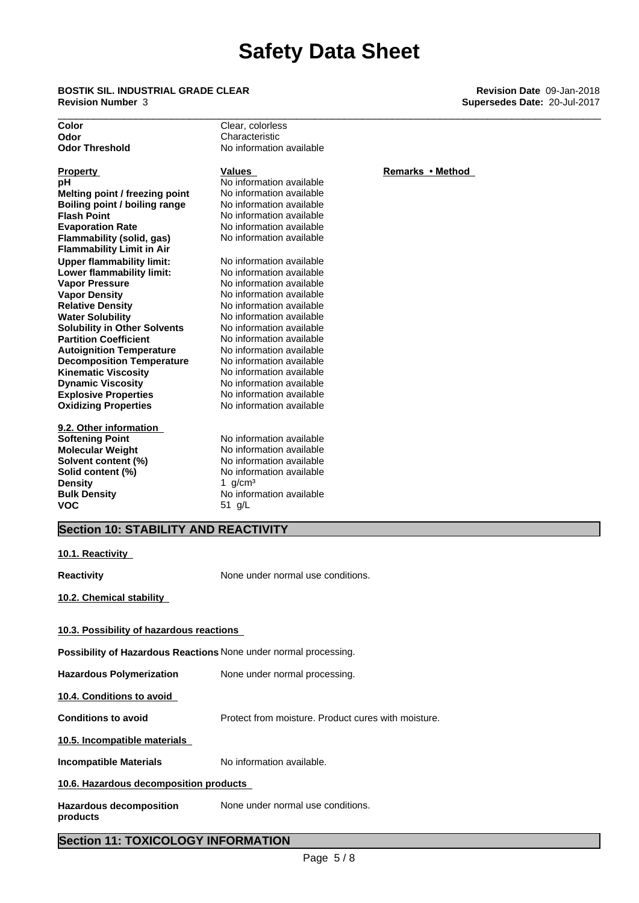\_\_\_\_\_\_\_\_\_\_\_\_\_\_\_\_\_\_\_\_\_\_\_\_\_\_\_\_\_\_\_\_\_\_\_\_\_\_\_\_\_\_\_\_\_\_\_\_\_\_\_\_\_\_\_\_\_\_\_\_\_\_\_\_\_\_\_\_\_\_\_\_\_\_\_\_\_\_\_\_\_\_\_\_\_\_\_\_\_\_\_ **BOSTIK SIL. INDUSTRIAL GRADE CLEAR Revision Date** 09-Jan-2018 **Revision Number** 3 **Supersedes Date:** 20-Jul-2017

| Clear, colorless         |                |
|--------------------------|----------------|
| Characteristic           |                |
| No information available |                |
| Values                   | <b>Remarks</b> |
| No information available |                |
| No information available |                |
| No information available |                |
| No information available |                |
| No information available |                |
| No information available |                |
|                          |                |
| No information available |                |
| No information available |                |
| No information available |                |
| No information available |                |
| No information available |                |
| No information available |                |
| No information available |                |
| No information available |                |
| No information available |                |
| No information available |                |
|                          |                |

**Explosive Properties**<br> **Oxidizing Properties**<br>
No information available **Kinematic Viscosity**<br> **Communicipal Interval 2** No information available<br>
No information available

**9.2. Other information Solvent content (%) Density** 1 g/cm<sup>3</sup><br> **Bulk Density** 1 **Density** No inform **VOC** 51 g/L

**No information available Dynamic Viscosity** No information available

No information available<br>No information available **Molecular Weight No information available**<br> **Solvent content (%)** No information available **Solid content (%)** No information available **No information available** 

**Remarks • Method**<br>available

## **Section 10: STABILITY AND REACTIVITY**

| SECUOIL IV. STADILITT AND REACTIVITT                                    |                                                     |
|-------------------------------------------------------------------------|-----------------------------------------------------|
| 10.1. Reactivity                                                        |                                                     |
| Reactivity                                                              | None under normal use conditions.                   |
| 10.2. Chemical stability                                                |                                                     |
| 10.3. Possibility of hazardous reactions                                |                                                     |
| <b>Possibility of Hazardous Reactions</b> None under normal processing. |                                                     |
| <b>Hazardous Polymerization</b>                                         | None under normal processing.                       |
| 10.4. Conditions to avoid                                               |                                                     |
| <b>Conditions to avoid</b>                                              | Protect from moisture. Product cures with moisture. |
| 10.5. Incompatible materials                                            |                                                     |
| <b>Incompatible Materials</b>                                           | No information available.                           |
| 10.6. Hazardous decomposition products                                  |                                                     |
| <b>Hazardous decomposition</b><br>products                              | None under normal use conditions.                   |

## **Section 11: TOXICOLOGY INFORMATION**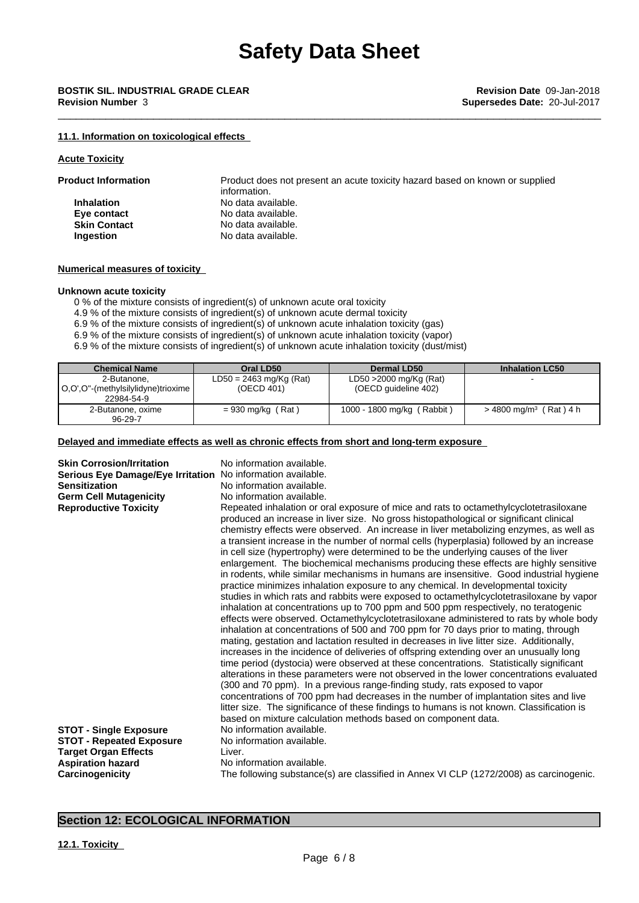### **11.1. Information on toxicological effects**

#### **Acute Toxicity**

| <b>Product Information</b> | Product does not present an acute toxicity hazard based on known or supplied<br>information. |
|----------------------------|----------------------------------------------------------------------------------------------|
| <b>Inhalation</b>          | No data available.                                                                           |
| Eye contact                | No data available.                                                                           |
| <b>Skin Contact</b>        | No data available.                                                                           |
| Ingestion                  | No data available.                                                                           |

#### **Numerical measures of toxicity**

#### **Unknown acute toxicity**

0 % of the mixture consists of ingredient(s) of unknown acute oral toxicity

4.9 % of the mixture consists of ingredient(s) of unknown acute dermal toxicity

6.9 % of the mixture consists of ingredient(s) of unknown acute inhalation toxicity (gas)

6.9 % of the mixture consists of ingredient(s) of unknown acute inhalation toxicity (vapor)

6.9 % of the mixture consists of ingredient(s) of unknown acute inhalation toxicity (dust/mist)

| <b>Chemical Name</b>                               | Oral LD50                               | Dermal LD50                                    | <b>Inhalation LC50</b>               |
|----------------------------------------------------|-----------------------------------------|------------------------------------------------|--------------------------------------|
| 2-Butanone.<br>O,O',O''-(methylsilylidyne)trioxime | $LD50 = 2463$ mg/Kg (Rat)<br>(OECD 401) | LD50 >2000 mg/Kg (Rat)<br>(OECD guideline 402) |                                      |
| 22984-54-9                                         |                                         |                                                |                                      |
| 2-Butanone, oxime<br>96-29-7                       | $= 930$ mg/kg (Rat)                     | 1000 - 1800 mg/kg (<br>(Rabbit)                | $>$ 4800 mg/m <sup>3</sup> (Rat) 4 h |

## **Delayed and immediate effects as well as chronic effects from short and long-term exposure**

| <b>Skin Corrosion/Irritation</b><br>Serious Eye Damage/Eye Irritation No information available.<br><b>Sensitization</b><br><b>Germ Cell Mutagenicity</b><br><b>Reproductive Toxicity</b><br><b>STOT - Single Exposure</b><br><b>STOT - Repeated Exposure</b> | No information available.<br>No information available.<br>No information available.<br>Repeated inhalation or oral exposure of mice and rats to octamethylcyclotetrasiloxane<br>produced an increase in liver size. No gross histopathological or significant clinical<br>chemistry effects were observed. An increase in liver metabolizing enzymes, as well as<br>a transient increase in the number of normal cells (hyperplasia) followed by an increase<br>in cell size (hypertrophy) were determined to be the underlying causes of the liver<br>enlargement. The biochemical mechanisms producing these effects are highly sensitive<br>in rodents, while similar mechanisms in humans are insensitive. Good industrial hygiene<br>practice minimizes inhalation exposure to any chemical. In developmental toxicity<br>studies in which rats and rabbits were exposed to octamethylcyclotetrasiloxane by vapor<br>inhalation at concentrations up to 700 ppm and 500 ppm respectively, no teratogenic<br>effects were observed. Octamethylcyclotetrasiloxane administered to rats by whole body<br>inhalation at concentrations of 500 and 700 ppm for 70 days prior to mating, through<br>mating, gestation and lactation resulted in decreases in live litter size. Additionally,<br>increases in the incidence of deliveries of offspring extending over an unusually long<br>time period (dystocia) were observed at these concentrations. Statistically significant<br>alterations in these parameters were not observed in the lower concentrations evaluated<br>(300 and 70 ppm). In a previous range-finding study, rats exposed to vapor<br>concentrations of 700 ppm had decreases in the number of implantation sites and live<br>litter size. The significance of these findings to humans is not known. Classification is<br>based on mixture calculation methods based on component data.<br>No information available.<br>No information available. |
|--------------------------------------------------------------------------------------------------------------------------------------------------------------------------------------------------------------------------------------------------------------|---------------------------------------------------------------------------------------------------------------------------------------------------------------------------------------------------------------------------------------------------------------------------------------------------------------------------------------------------------------------------------------------------------------------------------------------------------------------------------------------------------------------------------------------------------------------------------------------------------------------------------------------------------------------------------------------------------------------------------------------------------------------------------------------------------------------------------------------------------------------------------------------------------------------------------------------------------------------------------------------------------------------------------------------------------------------------------------------------------------------------------------------------------------------------------------------------------------------------------------------------------------------------------------------------------------------------------------------------------------------------------------------------------------------------------------------------------------------------------------------------------------------------------------------------------------------------------------------------------------------------------------------------------------------------------------------------------------------------------------------------------------------------------------------------------------------------------------------------------------------------------------------------------------------------------------------------------------------------|
| <b>Target Organ Effects</b>                                                                                                                                                                                                                                  | Liver.                                                                                                                                                                                                                                                                                                                                                                                                                                                                                                                                                                                                                                                                                                                                                                                                                                                                                                                                                                                                                                                                                                                                                                                                                                                                                                                                                                                                                                                                                                                                                                                                                                                                                                                                                                                                                                                                                                                                                                    |
| <b>Aspiration hazard</b>                                                                                                                                                                                                                                     | No information available.                                                                                                                                                                                                                                                                                                                                                                                                                                                                                                                                                                                                                                                                                                                                                                                                                                                                                                                                                                                                                                                                                                                                                                                                                                                                                                                                                                                                                                                                                                                                                                                                                                                                                                                                                                                                                                                                                                                                                 |
| Carcinogenicity                                                                                                                                                                                                                                              | The following substance(s) are classified in Annex VI CLP (1272/2008) as carcinogenic.                                                                                                                                                                                                                                                                                                                                                                                                                                                                                                                                                                                                                                                                                                                                                                                                                                                                                                                                                                                                                                                                                                                                                                                                                                                                                                                                                                                                                                                                                                                                                                                                                                                                                                                                                                                                                                                                                    |

## **Section 12: ECOLOGICAL INFORMATION**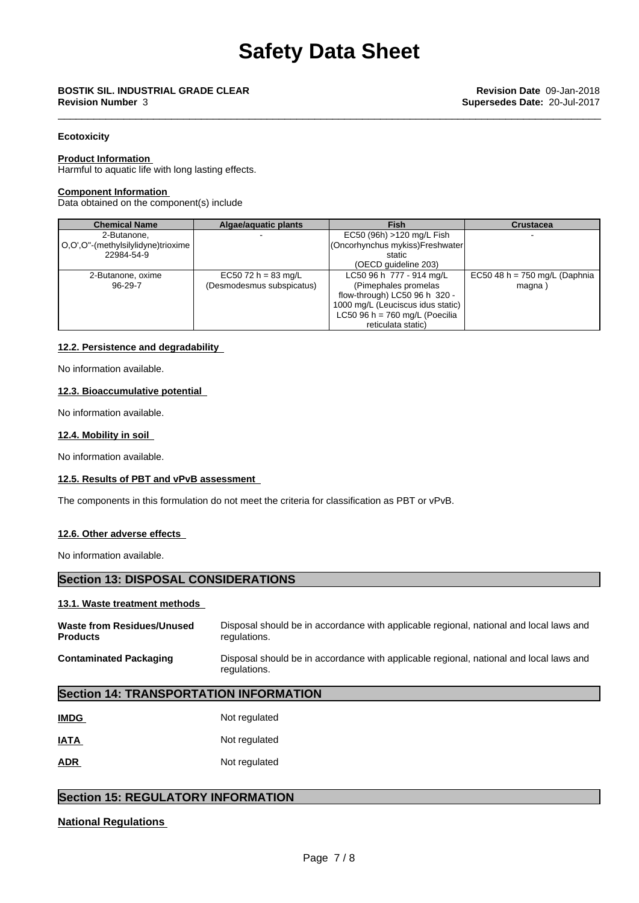# \_\_\_\_\_\_\_\_\_\_\_\_\_\_\_\_\_\_\_\_\_\_\_\_\_\_\_\_\_\_\_\_\_\_\_\_\_\_\_\_\_\_\_\_\_\_\_\_\_\_\_\_\_\_\_\_\_\_\_\_\_\_\_\_\_\_\_\_\_\_\_\_\_\_\_\_\_\_\_\_\_\_\_\_\_\_\_\_\_\_\_ **BOSTIK SIL. INDUSTRIAL GRADE CLEAR Revision Date** 09-Jan-2018

## **Ecotoxicity**

#### **Product Information**

Harmful to aquatic life with long lasting effects.

#### **Component Information**

Data obtained on the component(s) include

| <b>Chemical Name</b>               | Algae/aquatic plants      | <b>Fish</b>                       | <b>Crustacea</b>                |
|------------------------------------|---------------------------|-----------------------------------|---------------------------------|
| 2-Butanone,                        |                           | EC50 (96h) >120 mg/L Fish         |                                 |
| O,O',O"-(methylsilylidyne)trioxime |                           | (Oncorhynchus mykiss)Freshwater   |                                 |
| 22984-54-9                         |                           | static                            |                                 |
|                                    |                           | (OECD quideline 203)              |                                 |
| 2-Butanone, oxime                  | EC50 72 h = 83 mg/L       | LC50 96 h 777 - 914 mg/L          | EC50 48 h = $750$ mg/L (Daphnia |
| $96 - 29 - 7$                      | (Desmodesmus subspicatus) | (Pimephales promelas)             | magna)                          |
|                                    |                           | flow-through) LC50 96 h 320 -     |                                 |
|                                    |                           | 1000 mg/L (Leuciscus idus static) |                                 |
|                                    |                           | LC50 96 h = $760$ mg/L (Poecilia  |                                 |
|                                    |                           | reticulata static)                |                                 |

### **12.2. Persistence and degradability**

No information available.

#### **12.3. Bioaccumulative potential**

No information available.

### **12.4. Mobility in soil**

No information available.

#### **12.5. Results of PBT and vPvB assessment**

The components in this formulation do not meet the criteria for classification as PBT or vPvB.

### **12.6. Other adverse effects**

No information available.

## **Section 13: DISPOSAL CONSIDERATIONS**

#### **13.1. Waste treatment methods**

| <b>Waste from Residues/Unused</b> | Disposal should be in accordance with applicable regional, national and local laws and                 |
|-----------------------------------|--------------------------------------------------------------------------------------------------------|
| <b>Products</b>                   | regulations.                                                                                           |
| <b>Contaminated Packaging</b>     | Disposal should be in accordance with applicable regional, national and local laws and<br>regulations. |

## **Section 14: TRANSPORTATION INFORMATION**

| <b>IMDG</b> | Not regulated |
|-------------|---------------|
| <u>IATA</u> | Not regulated |
| <b>ADR</b>  | Not regulated |

## **Section 15: REGULATORY INFORMATION**

## **National Regulations**